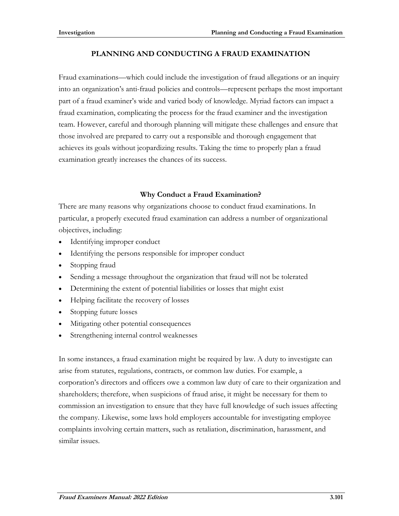# **PLANNING AND CONDUCTING A FRAUD EXAMINATION**

Fraud examinations—which could include the investigation of fraud allegations or an inquiry into an organization's anti-fraud policies and controls—represent perhaps the most important part of a fraud examiner's wide and varied body of knowledge. Myriad factors can impact a fraud examination, complicating the process for the fraud examiner and the investigation team. However, careful and thorough planning will mitigate these challenges and ensure that those involved are prepared to carry out a responsible and thorough engagement that achieves its goals without jeopardizing results. Taking the time to properly plan a fraud examination greatly increases the chances of its success.

### **Why Conduct a Fraud Examination?**

There are many reasons why organizations choose to conduct fraud examinations. In particular, a properly executed fraud examination can address a number of organizational objectives, including:

- Identifying improper conduct
- Identifying the persons responsible for improper conduct
- Stopping fraud
- Sending a message throughout the organization that fraud will not be tolerated
- Determining the extent of potential liabilities or losses that might exist
- Helping facilitate the recovery of losses
- Stopping future losses
- Mitigating other potential consequences
- Strengthening internal control weaknesses

In some instances, a fraud examination might be required by law. A duty to investigate can arise from statutes, regulations, contracts, or common law duties. For example, a corporation's directors and officers owe a common law duty of care to their organization and shareholders; therefore, when suspicions of fraud arise, it might be necessary for them to commission an investigation to ensure that they have full knowledge of such issues affecting the company. Likewise, some laws hold employers accountable for investigating employee complaints involving certain matters, such as retaliation, discrimination, harassment, and similar issues.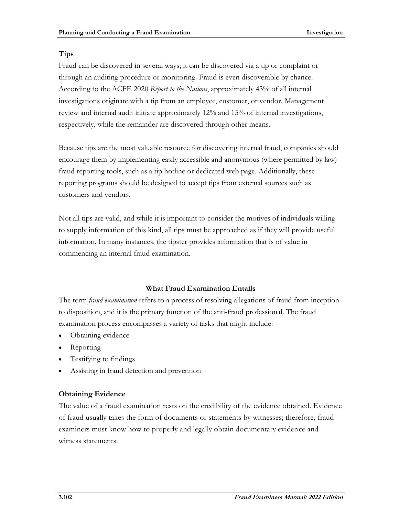#### **Tips**

Fraud can be discovered in several ways; it can be discovered via a tip or complaint or through an auditing procedure or monitoring. Fraud is even discoverable by chance. According to the ACFE 2020 *Report to the Nations*, approximately 43% of all internal investigations originate with a tip from an employee, customer, or vendor. Management review and internal audit initiate approximately 12% and 15% of internal investigations, respectively, while the remainder are discovered through other means.

Because tips are the most valuable resource for discovering internal fraud, companies should encourage them by implementing easily accessible and anonymous (where permitted by law) fraud reporting tools, such as a tip hotline or dedicated web page. Additionally, these reporting programs should be designed to accept tips from external sources such as customers and vendors.

Not all tips are valid, and while it is important to consider the motives of individuals willing to supply information of this kind, all tips must be approached as if they will provide useful information. In many instances, the tipster provides information that is of value in commencing an internal fraud examination.

#### **What Fraud Examination Entails**

The term *fraud examination* refers to a process of resolving allegations of fraud from inception to disposition, and it is the primary function of the anti-fraud professional. The fraud examination process encompasses a variety of tasks that might include:

- Obtaining evidence
- **Reporting**
- Testifying to findings
- Assisting in fraud detection and prevention

#### **Obtaining Evidence**

The value of a fraud examination rests on the credibility of the evidence obtained. Evidence of fraud usually takes the form of documents or statements by witnesses; therefore, fraud examiners must know how to properly and legally obtain documentary evidence and witness statements.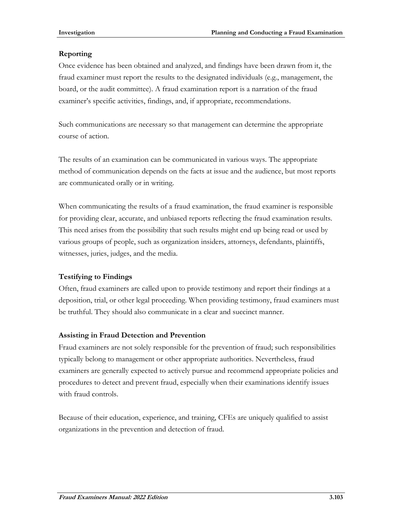# **Reporting**

Once evidence has been obtained and analyzed, and findings have been drawn from it, the fraud examiner must report the results to the designated individuals (e.g., management, the board, or the audit committee). A fraud examination report is a narration of the fraud examiner's specific activities, findings, and, if appropriate, recommendations.

Such communications are necessary so that management can determine the appropriate course of action.

The results of an examination can be communicated in various ways. The appropriate method of communication depends on the facts at issue and the audience, but most reports are communicated orally or in writing.

When communicating the results of a fraud examination, the fraud examiner is responsible for providing clear, accurate, and unbiased reports reflecting the fraud examination results. This need arises from the possibility that such results might end up being read or used by various groups of people, such as organization insiders, attorneys, defendants, plaintiffs, witnesses, juries, judges, and the media.

# **Testifying to Findings**

Often, fraud examiners are called upon to provide testimony and report their findings at a deposition, trial, or other legal proceeding. When providing testimony, fraud examiners must be truthful. They should also communicate in a clear and succinct manner.

### **Assisting in Fraud Detection and Prevention**

Fraud examiners are not solely responsible for the prevention of fraud; such responsibilities typically belong to management or other appropriate authorities. Nevertheless, fraud examiners are generally expected to actively pursue and recommend appropriate policies and procedures to detect and prevent fraud, especially when their examinations identify issues with fraud controls.

Because of their education, experience, and training, CFEs are uniquely qualified to assist organizations in the prevention and detection of fraud.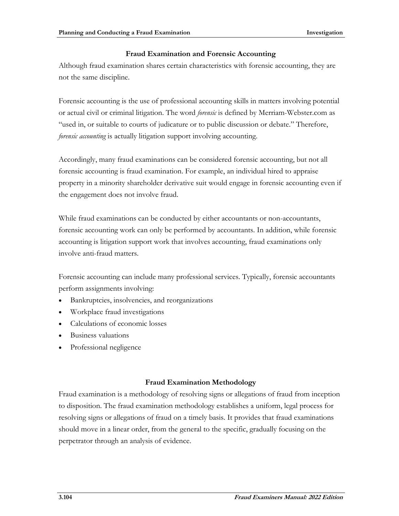#### **Fraud Examination and Forensic Accounting**

Although fraud examination shares certain characteristics with forensic accounting, they are not the same discipline.

Forensic accounting is the use of professional accounting skills in matters involving potential or actual civil or criminal litigation. The word *forensic* is defined by Merriam-Webster.com as "used in, or suitable to courts of judicature or to public discussion or debate." Therefore, *forensic accounting* is actually litigation support involving accounting.

Accordingly, many fraud examinations can be considered forensic accounting, but not all forensic accounting is fraud examination. For example, an individual hired to appraise property in a minority shareholder derivative suit would engage in forensic accounting even if the engagement does not involve fraud.

While fraud examinations can be conducted by either accountants or non-accountants, forensic accounting work can only be performed by accountants. In addition, while forensic accounting is litigation support work that involves accounting, fraud examinations only involve anti-fraud matters.

Forensic accounting can include many professional services. Typically, forensic accountants perform assignments involving:

- Bankruptcies, insolvencies, and reorganizations
- Workplace fraud investigations
- Calculations of economic losses
- Business valuations
- Professional negligence

#### **Fraud Examination Methodology**

Fraud examination is a methodology of resolving signs or allegations of fraud from inception to disposition. The fraud examination methodology establishes a uniform, legal process for resolving signs or allegations of fraud on a timely basis. It provides that fraud examinations should move in a linear order, from the general to the specific, gradually focusing on the perpetrator through an analysis of evidence.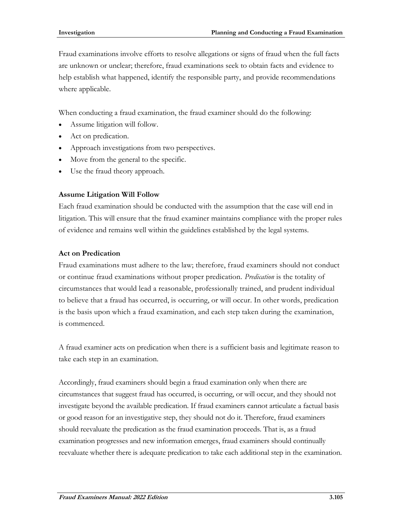Fraud examinations involve efforts to resolve allegations or signs of fraud when the full facts are unknown or unclear; therefore, fraud examinations seek to obtain facts and evidence to help establish what happened, identify the responsible party, and provide recommendations where applicable.

When conducting a fraud examination, the fraud examiner should do the following:

- Assume litigation will follow.
- Act on predication.
- Approach investigations from two perspectives.
- Move from the general to the specific.
- Use the fraud theory approach.

### **Assume Litigation Will Follow**

Each fraud examination should be conducted with the assumption that the case will end in litigation. This will ensure that the fraud examiner maintains compliance with the proper rules of evidence and remains well within the guidelines established by the legal systems.

### **Act on Predication**

Fraud examinations must adhere to the law; therefore, fraud examiners should not conduct or continue fraud examinations without proper predication. *Predication* is the totality of circumstances that would lead a reasonable, professionally trained, and prudent individual to believe that a fraud has occurred, is occurring, or will occur. In other words, predication is the basis upon which a fraud examination, and each step taken during the examination, is commenced.

A fraud examiner acts on predication when there is a sufficient basis and legitimate reason to take each step in an examination.

Accordingly, fraud examiners should begin a fraud examination only when there are circumstances that suggest fraud has occurred, is occurring, or will occur, and they should not investigate beyond the available predication. If fraud examiners cannot articulate a factual basis or good reason for an investigative step, they should not do it. Therefore, fraud examiners should reevaluate the predication as the fraud examination proceeds. That is, as a fraud examination progresses and new information emerges, fraud examiners should continually reevaluate whether there is adequate predication to take each additional step in the examination.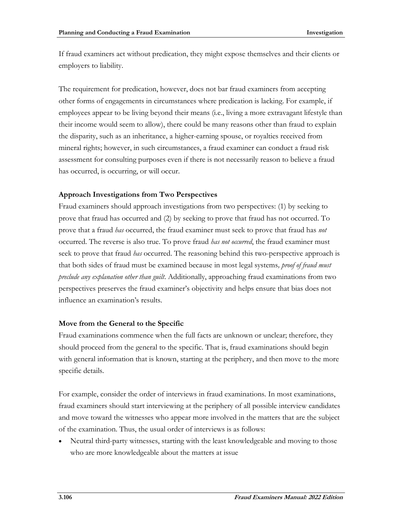If fraud examiners act without predication, they might expose themselves and their clients or employers to liability.

The requirement for predication, however, does not bar fraud examiners from accepting other forms of engagements in circumstances where predication is lacking. For example, if employees appear to be living beyond their means (i.e., living a more extravagant lifestyle than their income would seem to allow), there could be many reasons other than fraud to explain the disparity, such as an inheritance, a higher-earning spouse, or royalties received from mineral rights; however, in such circumstances, a fraud examiner can conduct a fraud risk assessment for consulting purposes even if there is not necessarily reason to believe a fraud has occurred, is occurring, or will occur.

### **Approach Investigations from Two Perspectives**

Fraud examiners should approach investigations from two perspectives: (1) by seeking to prove that fraud has occurred and (2) by seeking to prove that fraud has not occurred. To prove that a fraud *has* occurred, the fraud examiner must seek to prove that fraud has *not* occurred. The reverse is also true. To prove fraud *has not occurred*, the fraud examiner must seek to prove that fraud *has* occurred. The reasoning behind this two-perspective approach is that both sides of fraud must be examined because in most legal systems*, proof of fraud must preclude any explanation other than guilt*. Additionally, approaching fraud examinations from two perspectives preserves the fraud examiner's objectivity and helps ensure that bias does not influence an examination's results.

### **Move from the General to the Specific**

Fraud examinations commence when the full facts are unknown or unclear; therefore, they should proceed from the general to the specific. That is, fraud examinations should begin with general information that is known, starting at the periphery, and then move to the more specific details.

For example, consider the order of interviews in fraud examinations. In most examinations, fraud examiners should start interviewing at the periphery of all possible interview candidates and move toward the witnesses who appear more involved in the matters that are the subject of the examination. Thus, the usual order of interviews is as follows:

• Neutral third-party witnesses, starting with the least knowledgeable and moving to those who are more knowledgeable about the matters at issue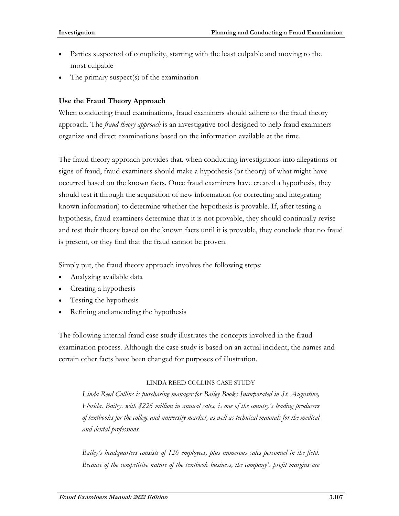- Parties suspected of complicity, starting with the least culpable and moving to the most culpable
- The primary suspect(s) of the examination

### **Use the Fraud Theory Approach**

When conducting fraud examinations, fraud examiners should adhere to the fraud theory approach. The *fraud theory approach* is an investigative tool designed to help fraud examiners organize and direct examinations based on the information available at the time.

The fraud theory approach provides that, when conducting investigations into allegations or signs of fraud, fraud examiners should make a hypothesis (or theory) of what might have occurred based on the known facts. Once fraud examiners have created a hypothesis, they should test it through the acquisition of new information (or correcting and integrating known information) to determine whether the hypothesis is provable. If, after testing a hypothesis, fraud examiners determine that it is not provable, they should continually revise and test their theory based on the known facts until it is provable, they conclude that no fraud is present, or they find that the fraud cannot be proven.

Simply put, the fraud theory approach involves the following steps:

- Analyzing available data
- Creating a hypothesis
- Testing the hypothesis
- Refining and amending the hypothesis

The following internal fraud case study illustrates the concepts involved in the fraud examination process. Although the case study is based on an actual incident, the names and certain other facts have been changed for purposes of illustration.

#### LINDA REED COLLINS CASE STUDY

*Linda Reed Collins is purchasing manager for Bailey Books Incorporated in St. Augustine, Florida. Bailey, with \$226 million in annual sales, is one of the country's leading producers of textbooks for the college and university market, as well as technical manuals for the medical and dental professions.*

*Bailey's headquarters consists of 126 employees, plus numerous sales personnel in the field. Because of the competitive nature of the textbook business, the company's profit margins are*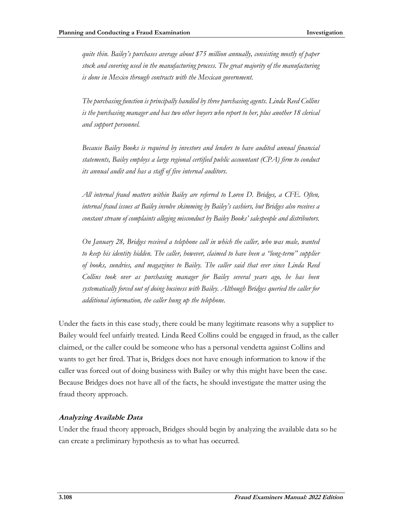*quite thin. Bailey's purchases average about \$75 million annually, consisting mostly of paper stock and covering used in the manufacturing process. The great majority of the manufacturing is done in Mexico through contracts with the Mexican government.*

*The purchasing function is principally handled by three purchasing agents. Linda Reed Collins is the purchasing manager and has two other buyers who report to her, plus another 18 clerical and support personnel.*

*Because Bailey Books is required by investors and lenders to have audited annual financial statements, Bailey employs a large regional certified public accountant (CPA) firm to conduct its annual audit and has a staff of five internal auditors.* 

*All internal fraud matters within Bailey are referred to Loren D. Bridges, a CFE. Often, internal fraud issues at Bailey involve skimming by Bailey's cashiers, but Bridges also receives a constant stream of complaints alleging misconduct by Bailey Books' salespeople and distributors.*

*On January 28, Bridges received a telephone call in which the caller, who was male, wanted to keep his identity hidden. The caller, however, claimed to have been a "long-term" supplier of books, sundries, and magazines to Bailey. The caller said that ever since Linda Reed Collins took over as purchasing manager for Bailey several years ago, he has been systematically forced out of doing business with Bailey. Although Bridges queried the caller for additional information, the caller hung up the telephone.*

Under the facts in this case study, there could be many legitimate reasons why a supplier to Bailey would feel unfairly treated. Linda Reed Collins could be engaged in fraud, as the caller claimed, or the caller could be someone who has a personal vendetta against Collins and wants to get her fired. That is, Bridges does not have enough information to know if the caller was forced out of doing business with Bailey or why this might have been the case. Because Bridges does not have all of the facts, he should investigate the matter using the fraud theory approach.

#### **Analyzing Available Data**

Under the fraud theory approach, Bridges should begin by analyzing the available data so he can create a preliminary hypothesis as to what has occurred.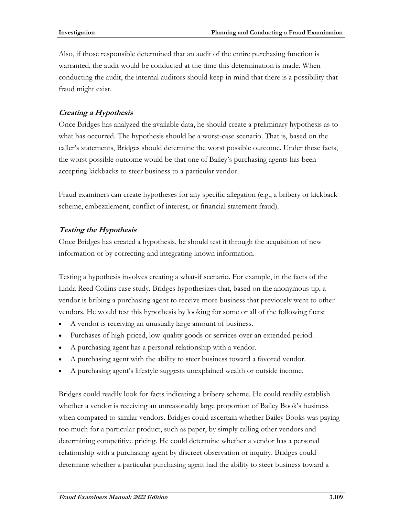Also, if those responsible determined that an audit of the entire purchasing function is warranted, the audit would be conducted at the time this determination is made. When conducting the audit, the internal auditors should keep in mind that there is a possibility that fraud might exist.

# **Creating a Hypothesis**

Once Bridges has analyzed the available data, he should create a preliminary hypothesis as to what has occurred. The hypothesis should be a worst-case scenario. That is, based on the caller's statements, Bridges should determine the worst possible outcome. Under these facts, the worst possible outcome would be that one of Bailey's purchasing agents has been accepting kickbacks to steer business to a particular vendor.

Fraud examiners can create hypotheses for any specific allegation (e.g., a bribery or kickback scheme, embezzlement, conflict of interest, or financial statement fraud).

# **Testing the Hypothesis**

Once Bridges has created a hypothesis, he should test it through the acquisition of new information or by correcting and integrating known information.

Testing a hypothesis involves creating a what-if scenario. For example, in the facts of the Linda Reed Collins case study, Bridges hypothesizes that, based on the anonymous tip, a vendor is bribing a purchasing agent to receive more business that previously went to other vendors. He would test this hypothesis by looking for some or all of the following facts:

- A vendor is receiving an unusually large amount of business.
- Purchases of high-priced, low-quality goods or services over an extended period.
- A purchasing agent has a personal relationship with a vendor.
- A purchasing agent with the ability to steer business toward a favored vendor.
- A purchasing agent's lifestyle suggests unexplained wealth or outside income.

Bridges could readily look for facts indicating a bribery scheme. He could readily establish whether a vendor is receiving an unreasonably large proportion of Bailey Book's business when compared to similar vendors. Bridges could ascertain whether Bailey Books was paying too much for a particular product, such as paper, by simply calling other vendors and determining competitive pricing. He could determine whether a vendor has a personal relationship with a purchasing agent by discreet observation or inquiry. Bridges could determine whether a particular purchasing agent had the ability to steer business toward a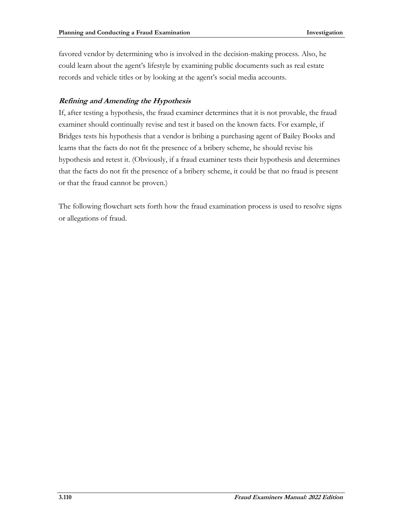favored vendor by determining who is involved in the decision-making process. Also, he could learn about the agent's lifestyle by examining public documents such as real estate records and vehicle titles or by looking at the agent's social media accounts.

# **Refining and Amending the Hypothesis**

If, after testing a hypothesis, the fraud examiner determines that it is not provable, the fraud examiner should continually revise and test it based on the known facts. For example, if Bridges tests his hypothesis that a vendor is bribing a purchasing agent of Bailey Books and learns that the facts do not fit the presence of a bribery scheme, he should revise his hypothesis and retest it. (Obviously, if a fraud examiner tests their hypothesis and determines that the facts do not fit the presence of a bribery scheme, it could be that no fraud is present or that the fraud cannot be proven.)

The following flowchart sets forth how the fraud examination process is used to resolve signs or allegations of fraud.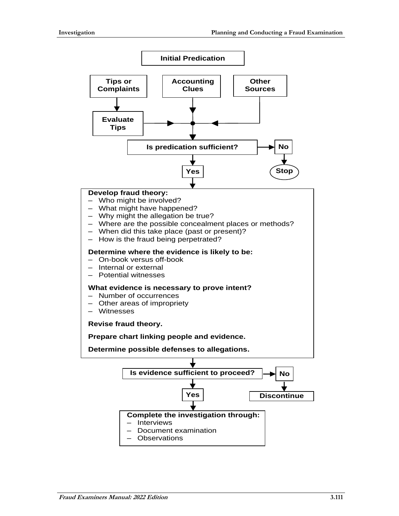

‒ Observations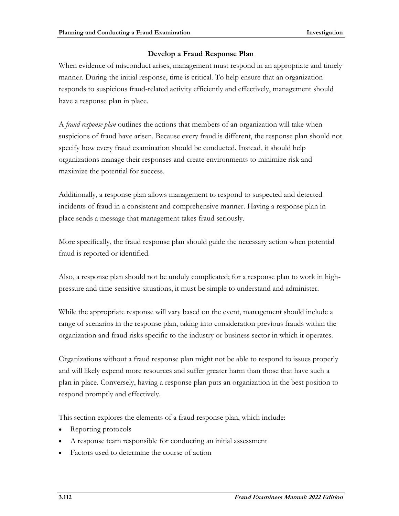### **Develop a Fraud Response Plan**

When evidence of misconduct arises, management must respond in an appropriate and timely manner. During the initial response, time is critical. To help ensure that an organization responds to suspicious fraud-related activity efficiently and effectively, management should have a response plan in place.

A *fraud response plan* outlines the actions that members of an organization will take when suspicions of fraud have arisen. Because every fraud is different, the response plan should not specify how every fraud examination should be conducted. Instead, it should help organizations manage their responses and create environments to minimize risk and maximize the potential for success.

Additionally, a response plan allows management to respond to suspected and detected incidents of fraud in a consistent and comprehensive manner. Having a response plan in place sends a message that management takes fraud seriously.

More specifically, the fraud response plan should guide the necessary action when potential fraud is reported or identified.

Also, a response plan should not be unduly complicated; for a response plan to work in highpressure and time-sensitive situations, it must be simple to understand and administer.

While the appropriate response will vary based on the event, management should include a range of scenarios in the response plan, taking into consideration previous frauds within the organization and fraud risks specific to the industry or business sector in which it operates.

Organizations without a fraud response plan might not be able to respond to issues properly and will likely expend more resources and suffer greater harm than those that have such a plan in place. Conversely, having a response plan puts an organization in the best position to respond promptly and effectively.

This section explores the elements of a fraud response plan, which include:

- Reporting protocols
- A response team responsible for conducting an initial assessment
- Factors used to determine the course of action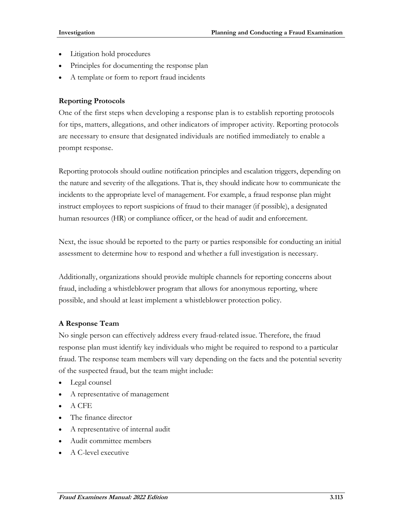- Litigation hold procedures
- Principles for documenting the response plan
- A template or form to report fraud incidents

### **Reporting Protocols**

One of the first steps when developing a response plan is to establish reporting protocols for tips, matters, allegations, and other indicators of improper activity. Reporting protocols are necessary to ensure that designated individuals are notified immediately to enable a prompt response.

Reporting protocols should outline notification principles and escalation triggers, depending on the nature and severity of the allegations. That is, they should indicate how to communicate the incidents to the appropriate level of management. For example, a fraud response plan might instruct employees to report suspicions of fraud to their manager (if possible), a designated human resources (HR) or compliance officer, or the head of audit and enforcement.

Next, the issue should be reported to the party or parties responsible for conducting an initial assessment to determine how to respond and whether a full investigation is necessary.

Additionally, organizations should provide multiple channels for reporting concerns about fraud, including a whistleblower program that allows for anonymous reporting, where possible, and should at least implement a whistleblower protection policy.

### **A Response Team**

No single person can effectively address every fraud-related issue. Therefore, the fraud response plan must identify key individuals who might be required to respond to a particular fraud. The response team members will vary depending on the facts and the potential severity of the suspected fraud, but the team might include:

- Legal counsel
- A representative of management
- A CFE
- The finance director
- A representative of internal audit
- Audit committee members
- A C-level executive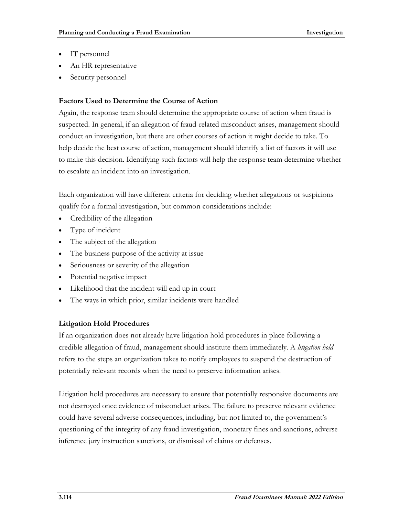- IT personnel
- An HR representative
- Security personnel

# **Factors Used to Determine the Course of Action**

Again, the response team should determine the appropriate course of action when fraud is suspected. In general, if an allegation of fraud-related misconduct arises, management should conduct an investigation, but there are other courses of action it might decide to take. To help decide the best course of action, management should identify a list of factors it will use to make this decision. Identifying such factors will help the response team determine whether to escalate an incident into an investigation.

Each organization will have different criteria for deciding whether allegations or suspicions qualify for a formal investigation, but common considerations include:

- Credibility of the allegation
- Type of incident
- The subject of the allegation
- The business purpose of the activity at issue
- Seriousness or severity of the allegation
- Potential negative impact
- Likelihood that the incident will end up in court
- The ways in which prior, similar incidents were handled

### **Litigation Hold Procedures**

If an organization does not already have litigation hold procedures in place following a credible allegation of fraud, management should institute them immediately. A *litigation hold*  refers to the steps an organization takes to notify employees to suspend the destruction of potentially relevant records when the need to preserve information arises.

Litigation hold procedures are necessary to ensure that potentially responsive documents are not destroyed once evidence of misconduct arises. The failure to preserve relevant evidence could have several adverse consequences, including, but not limited to, the government's questioning of the integrity of any fraud investigation, monetary fines and sanctions, adverse inference jury instruction sanctions, or dismissal of claims or defenses.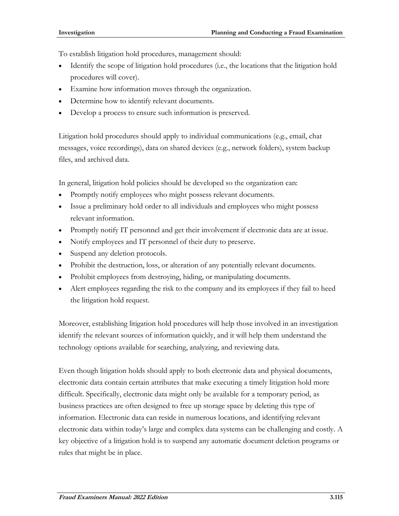To establish litigation hold procedures, management should:

- Identify the scope of litigation hold procedures (i.e., the locations that the litigation hold procedures will cover).
- Examine how information moves through the organization.
- Determine how to identify relevant documents.
- Develop a process to ensure such information is preserved.

Litigation hold procedures should apply to individual communications (e.g., email, chat messages, voice recordings), data on shared devices (e.g., network folders), system backup files, and archived data.

In general, litigation hold policies should be developed so the organization can:

- Promptly notify employees who might possess relevant documents.
- Issue a preliminary hold order to all individuals and employees who might possess relevant information.
- Promptly notify IT personnel and get their involvement if electronic data are at issue.
- Notify employees and IT personnel of their duty to preserve.
- Suspend any deletion protocols.
- Prohibit the destruction, loss, or alteration of any potentially relevant documents.
- Prohibit employees from destroying, hiding, or manipulating documents.
- Alert employees regarding the risk to the company and its employees if they fail to heed the litigation hold request.

Moreover, establishing litigation hold procedures will help those involved in an investigation identify the relevant sources of information quickly, and it will help them understand the technology options available for searching, analyzing, and reviewing data.

Even though litigation holds should apply to both electronic data and physical documents, electronic data contain certain attributes that make executing a timely litigation hold more difficult. Specifically, electronic data might only be available for a temporary period, as business practices are often designed to free up storage space by deleting this type of information. Electronic data can reside in numerous locations, and identifying relevant electronic data within today's large and complex data systems can be challenging and costly. A key objective of a litigation hold is to suspend any automatic document deletion programs or rules that might be in place.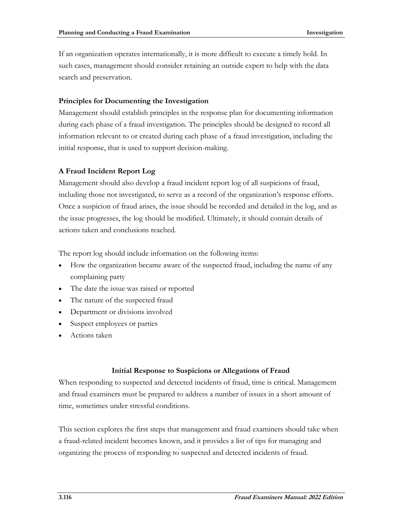If an organization operates internationally, it is more difficult to execute a timely hold. In such cases, management should consider retaining an outside expert to help with the data search and preservation.

#### **Principles for Documenting the Investigation**

Management should establish principles in the response plan for documenting information during each phase of a fraud investigation. The principles should be designed to record all information relevant to or created during each phase of a fraud investigation, including the initial response, that is used to support decision-making.

#### **A Fraud Incident Report Log**

Management should also develop a fraud incident report log of all suspicions of fraud, including those not investigated, to serve as a record of the organization's response efforts. Once a suspicion of fraud arises, the issue should be recorded and detailed in the log, and as the issue progresses, the log should be modified. Ultimately, it should contain details of actions taken and conclusions reached.

The report log should include information on the following items:

- How the organization became aware of the suspected fraud, including the name of any complaining party
- The date the issue was raised or reported
- The nature of the suspected fraud
- Department or divisions involved
- Suspect employees or parties
- Actions taken

### **Initial Response to Suspicions or Allegations of Fraud**

When responding to suspected and detected incidents of fraud, time is critical. Management and fraud examiners must be prepared to address a number of issues in a short amount of time, sometimes under stressful conditions.

This section explores the first steps that management and fraud examiners should take when a fraud-related incident becomes known, and it provides a list of tips for managing and organizing the process of responding to suspected and detected incidents of fraud.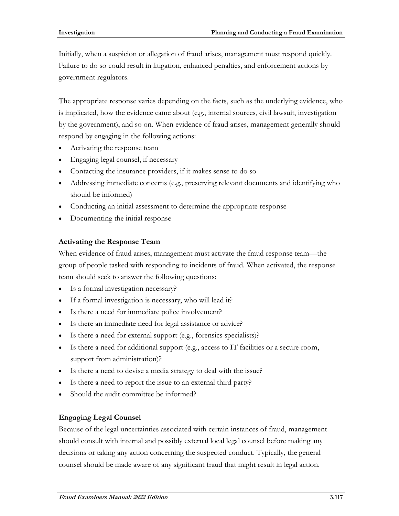Initially, when a suspicion or allegation of fraud arises, management must respond quickly. Failure to do so could result in litigation, enhanced penalties, and enforcement actions by government regulators.

The appropriate response varies depending on the facts, such as the underlying evidence, who is implicated, how the evidence came about (e.g., internal sources, civil lawsuit, investigation by the government), and so on. When evidence of fraud arises, management generally should respond by engaging in the following actions:

- Activating the response team
- Engaging legal counsel, if necessary
- Contacting the insurance providers, if it makes sense to do so
- Addressing immediate concerns (e.g., preserving relevant documents and identifying who should be informed)
- Conducting an initial assessment to determine the appropriate response
- Documenting the initial response

# **Activating the Response Team**

When evidence of fraud arises, management must activate the fraud response team—the group of people tasked with responding to incidents of fraud. When activated, the response team should seek to answer the following questions:

- Is a formal investigation necessary?
- If a formal investigation is necessary, who will lead it?
- Is there a need for immediate police involvement?
- Is there an immediate need for legal assistance or advice?
- Is there a need for external support (e.g., forensics specialists)?
- Is there a need for additional support (e.g., access to IT facilities or a secure room, support from administration)?
- Is there a need to devise a media strategy to deal with the issue?
- Is there a need to report the issue to an external third party?
- Should the audit committee be informed?

# **Engaging Legal Counsel**

Because of the legal uncertainties associated with certain instances of fraud, management should consult with internal and possibly external local legal counsel before making any decisions or taking any action concerning the suspected conduct. Typically, the general counsel should be made aware of any significant fraud that might result in legal action.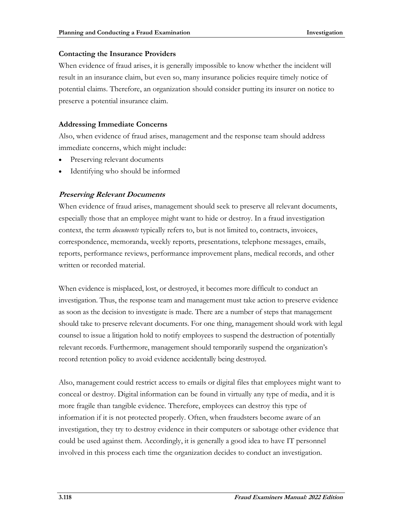### **Contacting the Insurance Providers**

When evidence of fraud arises, it is generally impossible to know whether the incident will result in an insurance claim, but even so, many insurance policies require timely notice of potential claims. Therefore, an organization should consider putting its insurer on notice to preserve a potential insurance claim.

### **Addressing Immediate Concerns**

Also, when evidence of fraud arises, management and the response team should address immediate concerns, which might include:

- Preserving relevant documents
- Identifying who should be informed

# **Preserving Relevant Documents**

When evidence of fraud arises, management should seek to preserve all relevant documents, especially those that an employee might want to hide or destroy. In a fraud investigation context, the term *documents* typically refers to, but is not limited to, contracts, invoices, correspondence, memoranda, weekly reports, presentations, telephone messages, emails, reports, performance reviews, performance improvement plans, medical records, and other written or recorded material.

When evidence is misplaced, lost, or destroyed, it becomes more difficult to conduct an investigation. Thus, the response team and management must take action to preserve evidence as soon as the decision to investigate is made. There are a number of steps that management should take to preserve relevant documents. For one thing, management should work with legal counsel to issue a litigation hold to notify employees to suspend the destruction of potentially relevant records. Furthermore, management should temporarily suspend the organization's record retention policy to avoid evidence accidentally being destroyed.

Also, management could restrict access to emails or digital files that employees might want to conceal or destroy. Digital information can be found in virtually any type of media, and it is more fragile than tangible evidence. Therefore, employees can destroy this type of information if it is not protected properly. Often, when fraudsters become aware of an investigation, they try to destroy evidence in their computers or sabotage other evidence that could be used against them. Accordingly, it is generally a good idea to have IT personnel involved in this process each time the organization decides to conduct an investigation.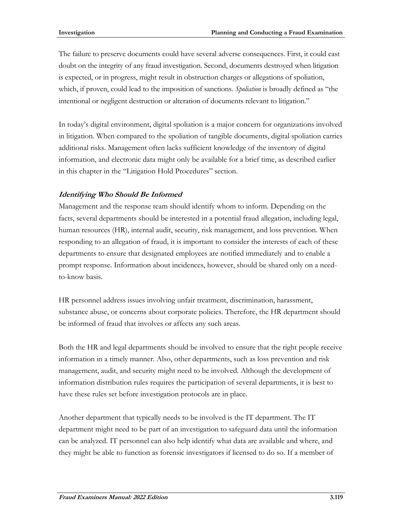The failure to preserve documents could have several adverse consequences. First, it could cast doubt on the integrity of any fraud investigation. Second, documents destroyed when litigation is expected, or in progress, might result in obstruction charges or allegations of spoliation, which, if proven, could lead to the imposition of sanctions. *Spoliation* is broadly defined as "the intentional or negligent destruction or alteration of documents relevant to litigation."

In today's digital environment, digital spoliation is a major concern for organizations involved in litigation. When compared to the spoliation of tangible documents, digital spoliation carries additional risks. Management often lacks sufficient knowledge of the inventory of digital information, and electronic data might only be available for a brief time, as described earlier in this chapter in the "Litigation Hold Procedures" section.

# **Identifying Who Should Be Informed**

Management and the response team should identify whom to inform. Depending on the facts, several departments should be interested in a potential fraud allegation, including legal, human resources (HR), internal audit, security, risk management, and loss prevention. When responding to an allegation of fraud, it is important to consider the interests of each of these departments to ensure that designated employees are notified immediately and to enable a prompt response. Information about incidences, however, should be shared only on a needto-know basis.

HR personnel address issues involving unfair treatment, discrimination, harassment, substance abuse, or concerns about corporate policies. Therefore, the HR department should be informed of fraud that involves or affects any such areas.

Both the HR and legal departments should be involved to ensure that the right people receive information in a timely manner. Also, other departments, such as loss prevention and risk management, audit, and security might need to be involved. Although the development of information distribution rules requires the participation of several departments, it is best to have these rules set before investigation protocols are in place.

Another department that typically needs to be involved is the IT department. The IT department might need to be part of an investigation to safeguard data until the information can be analyzed. IT personnel can also help identify what data are available and where, and they might be able to function as forensic investigators if licensed to do so. If a member of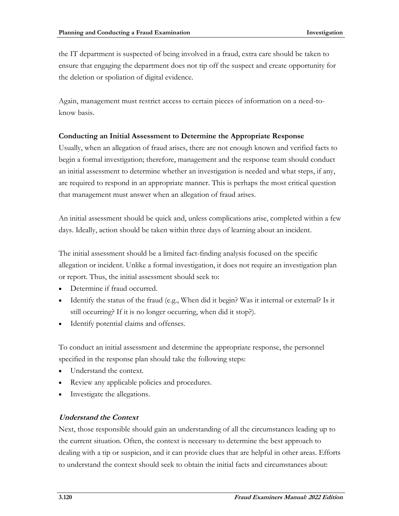the IT department is suspected of being involved in a fraud, extra care should be taken to ensure that engaging the department does not tip off the suspect and create opportunity for the deletion or spoliation of digital evidence.

Again, management must restrict access to certain pieces of information on a need-toknow basis.

### **Conducting an Initial Assessment to Determine the Appropriate Response**

Usually, when an allegation of fraud arises, there are not enough known and verified facts to begin a formal investigation; therefore, management and the response team should conduct an initial assessment to determine whether an investigation is needed and what steps, if any, are required to respond in an appropriate manner. This is perhaps the most critical question that management must answer when an allegation of fraud arises.

An initial assessment should be quick and, unless complications arise, completed within a few days. Ideally, action should be taken within three days of learning about an incident.

The initial assessment should be a limited fact-finding analysis focused on the specific allegation or incident. Unlike a formal investigation, it does not require an investigation plan or report. Thus, the initial assessment should seek to:

- Determine if fraud occurred.
- Identify the status of the fraud (e.g., When did it begin? Was it internal or external? Is it still occurring? If it is no longer occurring, when did it stop?).
- Identify potential claims and offenses.

To conduct an initial assessment and determine the appropriate response, the personnel specified in the response plan should take the following steps:

- Understand the context.
- Review any applicable policies and procedures.
- Investigate the allegations.

### **Understand the Context**

Next, those responsible should gain an understanding of all the circumstances leading up to the current situation. Often, the context is necessary to determine the best approach to dealing with a tip or suspicion, and it can provide clues that are helpful in other areas. Efforts to understand the context should seek to obtain the initial facts and circumstances about: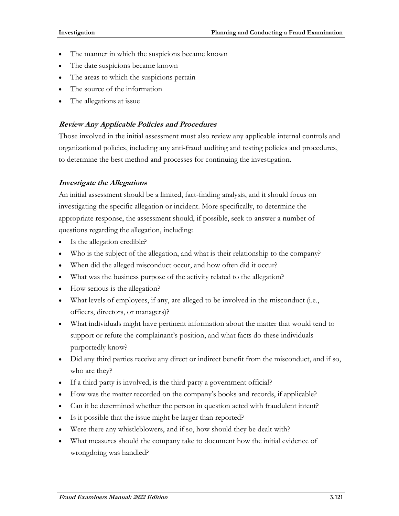- The manner in which the suspicions became known
- The date suspicions became known
- The areas to which the suspicions pertain
- The source of the information
- The allegations at issue

#### **Review Any Applicable Policies and Procedures**

Those involved in the initial assessment must also review any applicable internal controls and organizational policies, including any anti-fraud auditing and testing policies and procedures, to determine the best method and processes for continuing the investigation.

#### **Investigate the Allegations**

An initial assessment should be a limited, fact-finding analysis, and it should focus on investigating the specific allegation or incident. More specifically, to determine the appropriate response, the assessment should, if possible, seek to answer a number of questions regarding the allegation, including:

- Is the allegation credible?
- Who is the subject of the allegation, and what is their relationship to the company?
- When did the alleged misconduct occur, and how often did it occur?
- What was the business purpose of the activity related to the allegation?
- How serious is the allegation?
- What levels of employees, if any, are alleged to be involved in the misconduct (i.e., officers, directors, or managers)?
- What individuals might have pertinent information about the matter that would tend to support or refute the complainant's position, and what facts do these individuals purportedly know?
- Did any third parties receive any direct or indirect benefit from the misconduct, and if so, who are they?
- If a third party is involved, is the third party a government official?
- How was the matter recorded on the company's books and records, if applicable?
- Can it be determined whether the person in question acted with fraudulent intent?
- Is it possible that the issue might be larger than reported?
- Were there any whistleblowers, and if so, how should they be dealt with?
- What measures should the company take to document how the initial evidence of wrongdoing was handled?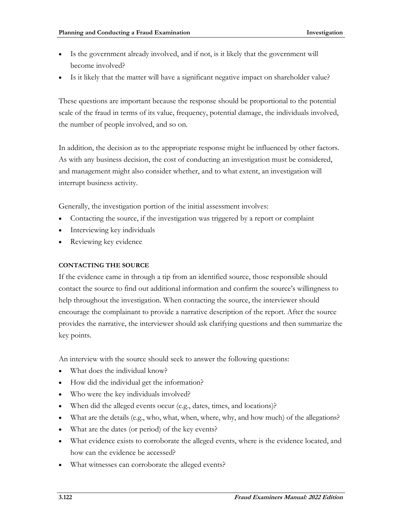- Is the government already involved, and if not, is it likely that the government will become involved?
- Is it likely that the matter will have a significant negative impact on shareholder value?

These questions are important because the response should be proportional to the potential scale of the fraud in terms of its value, frequency, potential damage, the individuals involved, the number of people involved, and so on.

In addition, the decision as to the appropriate response might be influenced by other factors. As with any business decision, the cost of conducting an investigation must be considered, and management might also consider whether, and to what extent, an investigation will interrupt business activity.

Generally, the investigation portion of the initial assessment involves:

- Contacting the source, if the investigation was triggered by a report or complaint
- Interviewing key individuals
- Reviewing key evidence

#### **CONTACTING THE SOURCE**

If the evidence came in through a tip from an identified source, those responsible should contact the source to find out additional information and confirm the source's willingness to help throughout the investigation. When contacting the source, the interviewer should encourage the complainant to provide a narrative description of the report. After the source provides the narrative, the interviewer should ask clarifying questions and then summarize the key points.

An interview with the source should seek to answer the following questions:

- What does the individual know?
- How did the individual get the information?
- Who were the key individuals involved?
- When did the alleged events occur (e.g., dates, times, and locations)?
- What are the details (e.g., who, what, when, where, why, and how much) of the allegations?
- What are the dates (or period) of the key events?
- What evidence exists to corroborate the alleged events, where is the evidence located, and how can the evidence be accessed?
- What witnesses can corroborate the alleged events?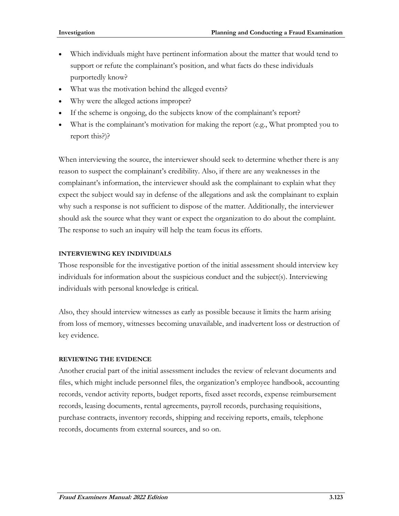- Which individuals might have pertinent information about the matter that would tend to support or refute the complainant's position, and what facts do these individuals purportedly know?
- What was the motivation behind the alleged events?
- Why were the alleged actions improper?
- If the scheme is ongoing, do the subjects know of the complainant's report?
- What is the complainant's motivation for making the report (e.g., What prompted you to report this?)?

When interviewing the source, the interviewer should seek to determine whether there is any reason to suspect the complainant's credibility. Also, if there are any weaknesses in the complainant's information, the interviewer should ask the complainant to explain what they expect the subject would say in defense of the allegations and ask the complainant to explain why such a response is not sufficient to dispose of the matter. Additionally, the interviewer should ask the source what they want or expect the organization to do about the complaint. The response to such an inquiry will help the team focus its efforts.

#### **INTERVIEWING KEY INDIVIDUALS**

Those responsible for the investigative portion of the initial assessment should interview key individuals for information about the suspicious conduct and the subject(s). Interviewing individuals with personal knowledge is critical.

Also, they should interview witnesses as early as possible because it limits the harm arising from loss of memory, witnesses becoming unavailable, and inadvertent loss or destruction of key evidence.

#### **REVIEWING THE EVIDENCE**

Another crucial part of the initial assessment includes the review of relevant documents and files, which might include personnel files, the organization's employee handbook, accounting records, vendor activity reports, budget reports, fixed asset records, expense reimbursement records, leasing documents, rental agreements, payroll records, purchasing requisitions, purchase contracts, inventory records, shipping and receiving reports, emails, telephone records, documents from external sources, and so on.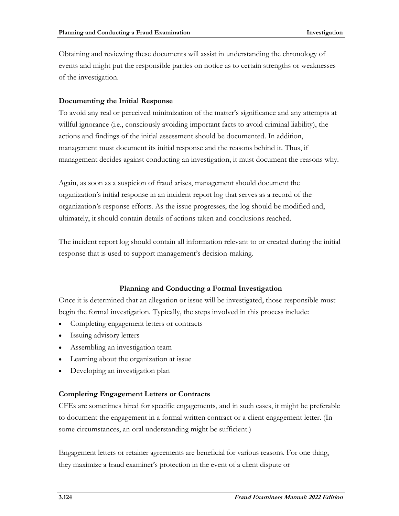Obtaining and reviewing these documents will assist in understanding the chronology of events and might put the responsible parties on notice as to certain strengths or weaknesses of the investigation.

### **Documenting the Initial Response**

To avoid any real or perceived minimization of the matter's significance and any attempts at willful ignorance (i.e., consciously avoiding important facts to avoid criminal liability), the actions and findings of the initial assessment should be documented. In addition, management must document its initial response and the reasons behind it. Thus, if management decides against conducting an investigation, it must document the reasons why.

Again, as soon as a suspicion of fraud arises, management should document the organization's initial response in an incident report log that serves as a record of the organization's response efforts. As the issue progresses, the log should be modified and, ultimately, it should contain details of actions taken and conclusions reached.

The incident report log should contain all information relevant to or created during the initial response that is used to support management's decision-making.

### **Planning and Conducting a Formal Investigation**

Once it is determined that an allegation or issue will be investigated, those responsible must begin the formal investigation. Typically, the steps involved in this process include:

- Completing engagement letters or contracts
- Issuing advisory letters
- Assembling an investigation team
- Learning about the organization at issue
- Developing an investigation plan

# **Completing Engagement Letters or Contracts**

CFEs are sometimes hired for specific engagements, and in such cases, it might be preferable to document the engagement in a formal written contract or a client engagement letter. (In some circumstances, an oral understanding might be sufficient.)

Engagement letters or retainer agreements are beneficial for various reasons. For one thing, they maximize a fraud examiner's protection in the event of a client dispute or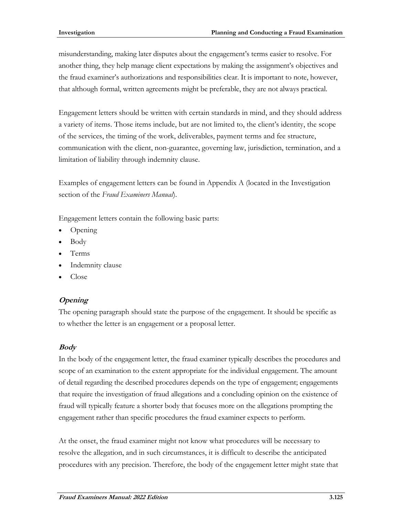misunderstanding, making later disputes about the engagement's terms easier to resolve. For another thing, they help manage client expectations by making the assignment's objectives and the fraud examiner's authorizations and responsibilities clear. It is important to note, however, that although formal, written agreements might be preferable, they are not always practical.

Engagement letters should be written with certain standards in mind, and they should address a variety of items. Those items include, but are not limited to, the client's identity, the scope of the services, the timing of the work, deliverables, payment terms and fee structure, communication with the client, non-guarantee, governing law, jurisdiction, termination, and a limitation of liability through indemnity clause.

Examples of engagement letters can be found in Appendix A (located in the Investigation section of the *Fraud Examiners Manual*).

Engagement letters contain the following basic parts:

- Opening
- Body
- Terms
- Indemnity clause
- Close

# **Opening**

The opening paragraph should state the purpose of the engagement. It should be specific as to whether the letter is an engagement or a proposal letter.

# **Body**

In the body of the engagement letter, the fraud examiner typically describes the procedures and scope of an examination to the extent appropriate for the individual engagement. The amount of detail regarding the described procedures depends on the type of engagement; engagements that require the investigation of fraud allegations and a concluding opinion on the existence of fraud will typically feature a shorter body that focuses more on the allegations prompting the engagement rather than specific procedures the fraud examiner expects to perform.

At the onset, the fraud examiner might not know what procedures will be necessary to resolve the allegation, and in such circumstances, it is difficult to describe the anticipated procedures with any precision. Therefore, the body of the engagement letter might state that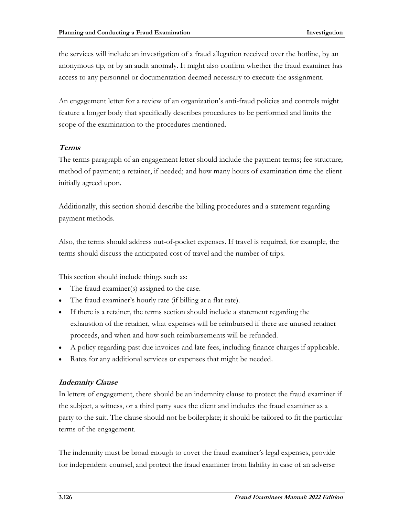the services will include an investigation of a fraud allegation received over the hotline, by an anonymous tip, or by an audit anomaly. It might also confirm whether the fraud examiner has access to any personnel or documentation deemed necessary to execute the assignment.

An engagement letter for a review of an organization's anti-fraud policies and controls might feature a longer body that specifically describes procedures to be performed and limits the scope of the examination to the procedures mentioned.

### **Terms**

The terms paragraph of an engagement letter should include the payment terms; fee structure; method of payment; a retainer, if needed; and how many hours of examination time the client initially agreed upon.

Additionally, this section should describe the billing procedures and a statement regarding payment methods.

Also, the terms should address out-of-pocket expenses. If travel is required, for example, the terms should discuss the anticipated cost of travel and the number of trips.

This section should include things such as:

- The fraud examiner(s) assigned to the case.
- The fraud examiner's hourly rate (if billing at a flat rate).
- If there is a retainer, the terms section should include a statement regarding the exhaustion of the retainer, what expenses will be reimbursed if there are unused retainer proceeds, and when and how such reimbursements will be refunded.
- A policy regarding past due invoices and late fees, including finance charges if applicable.
- Rates for any additional services or expenses that might be needed.

### **Indemnity Clause**

In letters of engagement, there should be an indemnity clause to protect the fraud examiner if the subject, a witness, or a third party sues the client and includes the fraud examiner as a party to the suit. The clause should not be boilerplate; it should be tailored to fit the particular terms of the engagement.

The indemnity must be broad enough to cover the fraud examiner's legal expenses, provide for independent counsel, and protect the fraud examiner from liability in case of an adverse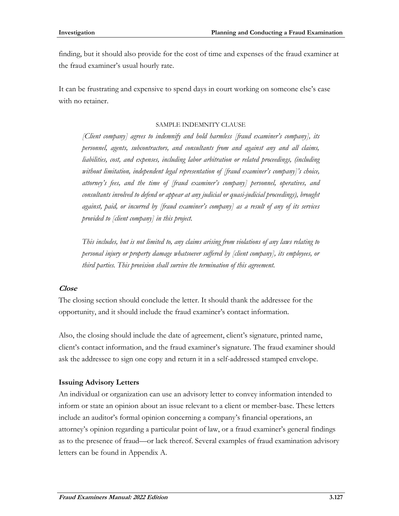finding, but it should also provide for the cost of time and expenses of the fraud examiner at the fraud examiner's usual hourly rate.

It can be frustrating and expensive to spend days in court working on someone else's case with no retainer.

#### SAMPLE INDEMNITY CLAUSE

*[Client company] agrees to indemnify and hold harmless [fraud examiner's company], its personnel, agents, subcontractors, and consultants from and against any and all claims, liabilities, cost, and expenses, including labor arbitration or related proceedings, (including without limitation, independent legal representation of [fraud examiner's company]'s choice, attorney's fees, and the time of [fraud examiner's company] personnel, operatives, and consultants involved to defend or appear at any judicial or quasi-judicial proceedings), brought against, paid, or incurred by [fraud examiner's company] as a result of any of its services provided to [client company] in this project.*

*This includes, but is not limited to, any claims arising from violations of any laws relating to personal injury or property damage whatsoever suffered by [client company], its employees, or third parties. This provision shall survive the termination of this agreement.*

### **Close**

The closing section should conclude the letter. It should thank the addressee for the opportunity, and it should include the fraud examiner's contact information.

Also, the closing should include the date of agreement, client's signature, printed name, client's contact information, and the fraud examiner's signature. The fraud examiner should ask the addressee to sign one copy and return it in a self-addressed stamped envelope.

# **Issuing Advisory Letters**

An individual or organization can use an advisory letter to convey information intended to inform or state an opinion about an issue relevant to a client or member-base. These letters include an auditor's formal opinion concerning a company's financial operations, an attorney's opinion regarding a particular point of law, or a fraud examiner's general findings as to the presence of fraud—or lack thereof. Several examples of fraud examination advisory letters can be found in Appendix A.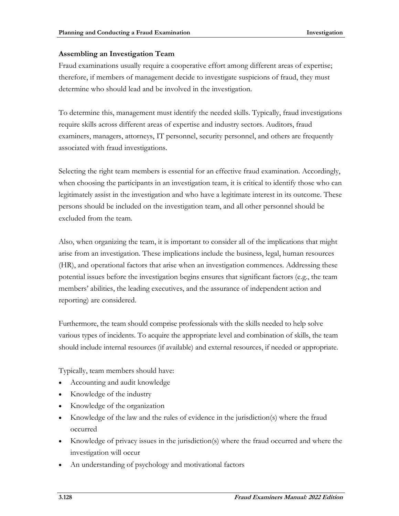### **Assembling an Investigation Team**

Fraud examinations usually require a cooperative effort among different areas of expertise; therefore, if members of management decide to investigate suspicions of fraud, they must determine who should lead and be involved in the investigation.

To determine this, management must identify the needed skills. Typically, fraud investigations require skills across different areas of expertise and industry sectors. Auditors, fraud examiners, managers, attorneys, IT personnel, security personnel, and others are frequently associated with fraud investigations.

Selecting the right team members is essential for an effective fraud examination. Accordingly, when choosing the participants in an investigation team, it is critical to identify those who can legitimately assist in the investigation and who have a legitimate interest in its outcome. These persons should be included on the investigation team, and all other personnel should be excluded from the team.

Also, when organizing the team, it is important to consider all of the implications that might arise from an investigation. These implications include the business, legal, human resources (HR), and operational factors that arise when an investigation commences. Addressing these potential issues before the investigation begins ensures that significant factors (e.g., the team members' abilities, the leading executives, and the assurance of independent action and reporting) are considered.

Furthermore, the team should comprise professionals with the skills needed to help solve various types of incidents. To acquire the appropriate level and combination of skills, the team should include internal resources (if available) and external resources, if needed or appropriate.

Typically, team members should have:

- Accounting and audit knowledge
- Knowledge of the industry
- Knowledge of the organization
- Knowledge of the law and the rules of evidence in the jurisdiction(s) where the fraud occurred
- Knowledge of privacy issues in the jurisdiction(s) where the fraud occurred and where the investigation will occur
- An understanding of psychology and motivational factors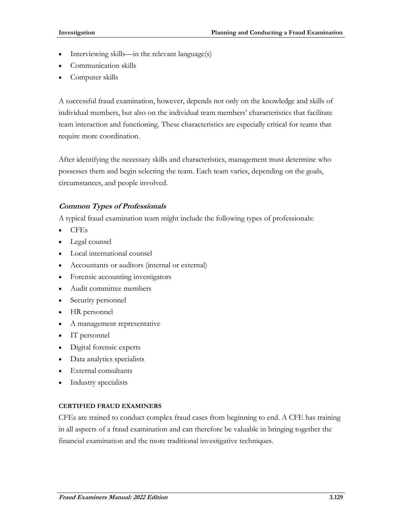- Interviewing skills—in the relevant language(s)
- Communication skills
- Computer skills

A successful fraud examination, however, depends not only on the knowledge and skills of individual members, but also on the individual team members' characteristics that facilitate team interaction and functioning. These characteristics are especially critical for teams that require more coordination.

After identifying the necessary skills and characteristics, management must determine who possesses them and begin selecting the team. Each team varies, depending on the goals, circumstances, and people involved.

### **Common Types of Professionals**

A typical fraud examination team might include the following types of professionals:

- CFEs
- Legal counsel
- Local international counsel
- Accountants or auditors (internal or external)
- Forensic accounting investigators
- Audit committee members
- Security personnel
- HR personnel
- A management representative
- IT personnel
- Digital forensic experts
- Data analytics specialists
- External consultants
- Industry specialists

#### **CERTIFIED FRAUD EXAMINERS**

CFEs are trained to conduct complex fraud cases from beginning to end. A CFE has training in all aspects of a fraud examination and can therefore be valuable in bringing together the financial examination and the more traditional investigative techniques.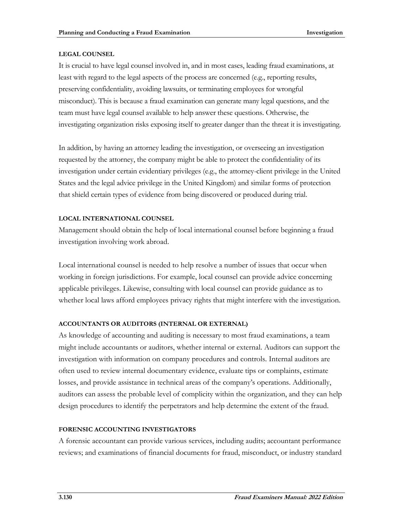#### **LEGAL COUNSEL**

It is crucial to have legal counsel involved in, and in most cases, leading fraud examinations, at least with regard to the legal aspects of the process are concerned (e.g., reporting results, preserving confidentiality, avoiding lawsuits, or terminating employees for wrongful misconduct). This is because a fraud examination can generate many legal questions, and the team must have legal counsel available to help answer these questions. Otherwise, the investigating organization risks exposing itself to greater danger than the threat it is investigating.

In addition, by having an attorney leading the investigation, or overseeing an investigation requested by the attorney, the company might be able to protect the confidentiality of its investigation under certain evidentiary privileges (e.g., the attorney-client privilege in the United States and the legal advice privilege in the United Kingdom) and similar forms of protection that shield certain types of evidence from being discovered or produced during trial.

#### **LOCAL INTERNATIONAL COUNSEL**

Management should obtain the help of local international counsel before beginning a fraud investigation involving work abroad.

Local international counsel is needed to help resolve a number of issues that occur when working in foreign jurisdictions. For example, local counsel can provide advice concerning applicable privileges. Likewise, consulting with local counsel can provide guidance as to whether local laws afford employees privacy rights that might interfere with the investigation.

#### **ACCOUNTANTS OR AUDITORS (INTERNAL OR EXTERNAL)**

As knowledge of accounting and auditing is necessary to most fraud examinations, a team might include accountants or auditors, whether internal or external. Auditors can support the investigation with information on company procedures and controls. Internal auditors are often used to review internal documentary evidence, evaluate tips or complaints, estimate losses, and provide assistance in technical areas of the company's operations. Additionally, auditors can assess the probable level of complicity within the organization, and they can help design procedures to identify the perpetrators and help determine the extent of the fraud.

#### **FORENSIC ACCOUNTING INVESTIGATORS**

A forensic accountant can provide various services, including audits; accountant performance reviews; and examinations of financial documents for fraud, misconduct, or industry standard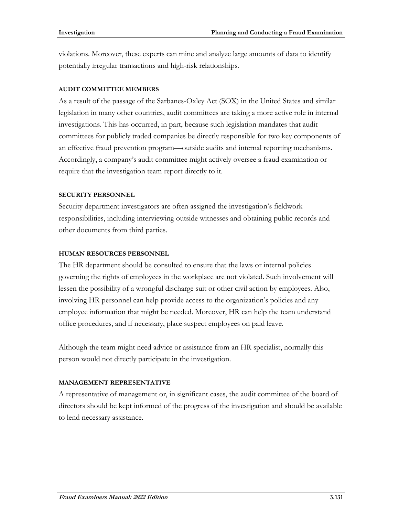violations. Moreover, these experts can mine and analyze large amounts of data to identify potentially irregular transactions and high-risk relationships.

#### **AUDIT COMMITTEE MEMBERS**

As a result of the passage of the Sarbanes-Oxley Act (SOX) in the United States and similar legislation in many other countries, audit committees are taking a more active role in internal investigations. This has occurred, in part, because such legislation mandates that audit committees for publicly traded companies be directly responsible for two key components of an effective fraud prevention program—outside audits and internal reporting mechanisms. Accordingly, a company's audit committee might actively oversee a fraud examination or require that the investigation team report directly to it.

#### **SECURITY PERSONNEL**

Security department investigators are often assigned the investigation's fieldwork responsibilities, including interviewing outside witnesses and obtaining public records and other documents from third parties.

#### **HUMAN RESOURCES PERSONNEL**

The HR department should be consulted to ensure that the laws or internal policies governing the rights of employees in the workplace are not violated. Such involvement will lessen the possibility of a wrongful discharge suit or other civil action by employees. Also, involving HR personnel can help provide access to the organization's policies and any employee information that might be needed. Moreover, HR can help the team understand office procedures, and if necessary, place suspect employees on paid leave.

Although the team might need advice or assistance from an HR specialist, normally this person would not directly participate in the investigation.

#### **MANAGEMENT REPRESENTATIVE**

A representative of management or, in significant cases, the audit committee of the board of directors should be kept informed of the progress of the investigation and should be available to lend necessary assistance.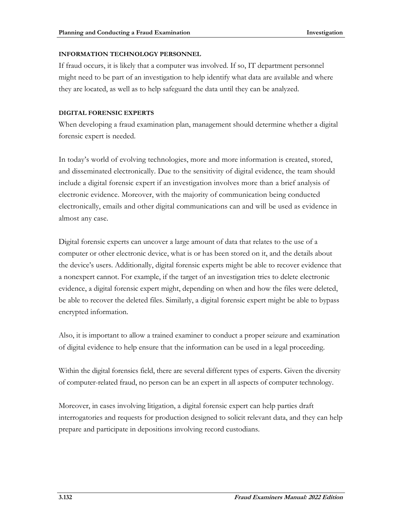#### **INFORMATION TECHNOLOGY PERSONNEL**

If fraud occurs, it is likely that a computer was involved. If so, IT department personnel might need to be part of an investigation to help identify what data are available and where they are located, as well as to help safeguard the data until they can be analyzed.

#### **DIGITAL FORENSIC EXPERTS**

When developing a fraud examination plan, management should determine whether a digital forensic expert is needed.

In today's world of evolving technologies, more and more information is created, stored, and disseminated electronically. Due to the sensitivity of digital evidence, the team should include a digital forensic expert if an investigation involves more than a brief analysis of electronic evidence. Moreover, with the majority of communication being conducted electronically, emails and other digital communications can and will be used as evidence in almost any case.

Digital forensic experts can uncover a large amount of data that relates to the use of a computer or other electronic device, what is or has been stored on it, and the details about the device's users. Additionally, digital forensic experts might be able to recover evidence that a nonexpert cannot. For example, if the target of an investigation tries to delete electronic evidence, a digital forensic expert might, depending on when and how the files were deleted, be able to recover the deleted files. Similarly, a digital forensic expert might be able to bypass encrypted information.

Also, it is important to allow a trained examiner to conduct a proper seizure and examination of digital evidence to help ensure that the information can be used in a legal proceeding.

Within the digital forensics field, there are several different types of experts. Given the diversity of computer-related fraud, no person can be an expert in all aspects of computer technology.

Moreover, in cases involving litigation, a digital forensic expert can help parties draft interrogatories and requests for production designed to solicit relevant data, and they can help prepare and participate in depositions involving record custodians.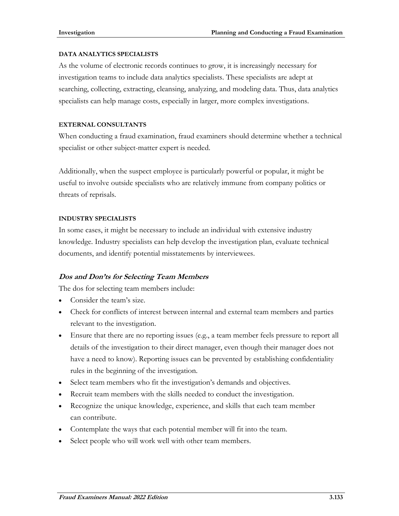#### **DATA ANALYTICS SPECIALISTS**

As the volume of electronic records continues to grow, it is increasingly necessary for investigation teams to include data analytics specialists. These specialists are adept at searching, collecting, extracting, cleansing, analyzing, and modeling data. Thus, data analytics specialists can help manage costs, especially in larger, more complex investigations.

#### **EXTERNAL CONSULTANTS**

When conducting a fraud examination, fraud examiners should determine whether a technical specialist or other subject-matter expert is needed.

Additionally, when the suspect employee is particularly powerful or popular, it might be useful to involve outside specialists who are relatively immune from company politics or threats of reprisals.

#### **INDUSTRY SPECIALISTS**

In some cases, it might be necessary to include an individual with extensive industry knowledge. Industry specialists can help develop the investigation plan, evaluate technical documents, and identify potential misstatements by interviewees.

### **Dos and Don'ts for Selecting Team Members**

The dos for selecting team members include:

- Consider the team's size.
- Check for conflicts of interest between internal and external team members and parties relevant to the investigation.
- Ensure that there are no reporting issues (e.g., a team member feels pressure to report all details of the investigation to their direct manager, even though their manager does not have a need to know). Reporting issues can be prevented by establishing confidentiality rules in the beginning of the investigation.
- Select team members who fit the investigation's demands and objectives.
- Recruit team members with the skills needed to conduct the investigation.
- Recognize the unique knowledge, experience, and skills that each team member can contribute.
- Contemplate the ways that each potential member will fit into the team.
- Select people who will work well with other team members.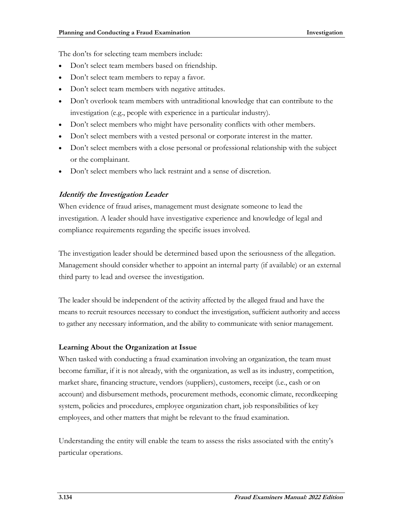The don'ts for selecting team members include:

- Don't select team members based on friendship.
- Don't select team members to repay a favor.
- Don't select team members with negative attitudes.
- Don't overlook team members with untraditional knowledge that can contribute to the investigation (e.g., people with experience in a particular industry).
- Don't select members who might have personality conflicts with other members.
- Don't select members with a vested personal or corporate interest in the matter.
- Don't select members with a close personal or professional relationship with the subject or the complainant.
- Don't select members who lack restraint and a sense of discretion.

# **Identify the Investigation Leader**

When evidence of fraud arises, management must designate someone to lead the investigation. A leader should have investigative experience and knowledge of legal and compliance requirements regarding the specific issues involved.

The investigation leader should be determined based upon the seriousness of the allegation. Management should consider whether to appoint an internal party (if available) or an external third party to lead and oversee the investigation.

The leader should be independent of the activity affected by the alleged fraud and have the means to recruit resources necessary to conduct the investigation, sufficient authority and access to gather any necessary information, and the ability to communicate with senior management.

### **Learning About the Organization at Issue**

When tasked with conducting a fraud examination involving an organization, the team must become familiar, if it is not already, with the organization, as well as its industry, competition, market share, financing structure, vendors (suppliers), customers, receipt (i.e., cash or on account) and disbursement methods, procurement methods, economic climate, recordkeeping system, policies and procedures, employee organization chart, job responsibilities of key employees, and other matters that might be relevant to the fraud examination.

Understanding the entity will enable the team to assess the risks associated with the entity's particular operations.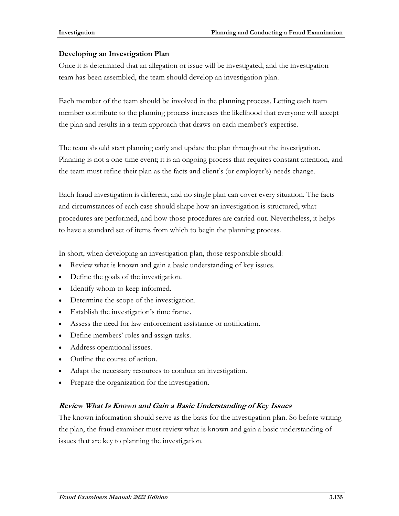### **Developing an Investigation Plan**

Once it is determined that an allegation or issue will be investigated, and the investigation team has been assembled, the team should develop an investigation plan.

Each member of the team should be involved in the planning process. Letting each team member contribute to the planning process increases the likelihood that everyone will accept the plan and results in a team approach that draws on each member's expertise.

The team should start planning early and update the plan throughout the investigation. Planning is not a one-time event; it is an ongoing process that requires constant attention, and the team must refine their plan as the facts and client's (or employer's) needs change.

Each fraud investigation is different, and no single plan can cover every situation. The facts and circumstances of each case should shape how an investigation is structured, what procedures are performed, and how those procedures are carried out. Nevertheless, it helps to have a standard set of items from which to begin the planning process.

In short, when developing an investigation plan, those responsible should:

- Review what is known and gain a basic understanding of key issues.
- Define the goals of the investigation.
- Identify whom to keep informed.
- Determine the scope of the investigation.
- Establish the investigation's time frame.
- Assess the need for law enforcement assistance or notification.
- Define members' roles and assign tasks.
- Address operational issues.
- Outline the course of action.
- Adapt the necessary resources to conduct an investigation.
- Prepare the organization for the investigation.

# **Review What Is Known and Gain a Basic Understanding of Key Issues**

The known information should serve as the basis for the investigation plan. So before writing the plan, the fraud examiner must review what is known and gain a basic understanding of issues that are key to planning the investigation.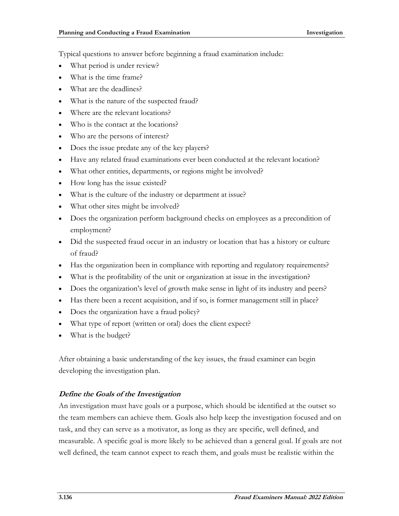Typical questions to answer before beginning a fraud examination include:

- What period is under review?
- What is the time frame?
- What are the deadlines?
- What is the nature of the suspected fraud?
- Where are the relevant locations?
- Who is the contact at the locations?
- Who are the persons of interest?
- Does the issue predate any of the key players?
- Have any related fraud examinations ever been conducted at the relevant location?
- What other entities, departments, or regions might be involved?
- How long has the issue existed?
- What is the culture of the industry or department at issue?
- What other sites might be involved?
- Does the organization perform background checks on employees as a precondition of employment?
- Did the suspected fraud occur in an industry or location that has a history or culture of fraud?
- Has the organization been in compliance with reporting and regulatory requirements?
- What is the profitability of the unit or organization at issue in the investigation?
- Does the organization's level of growth make sense in light of its industry and peers?
- Has there been a recent acquisition, and if so, is former management still in place?
- Does the organization have a fraud policy?
- What type of report (written or oral) does the client expect?
- What is the budget?

After obtaining a basic understanding of the key issues, the fraud examiner can begin developing the investigation plan.

# **Define the Goals of the Investigation**

An investigation must have goals or a purpose, which should be identified at the outset so the team members can achieve them. Goals also help keep the investigation focused and on task, and they can serve as a motivator, as long as they are specific, well defined, and measurable. A specific goal is more likely to be achieved than a general goal. If goals are not well defined, the team cannot expect to reach them, and goals must be realistic within the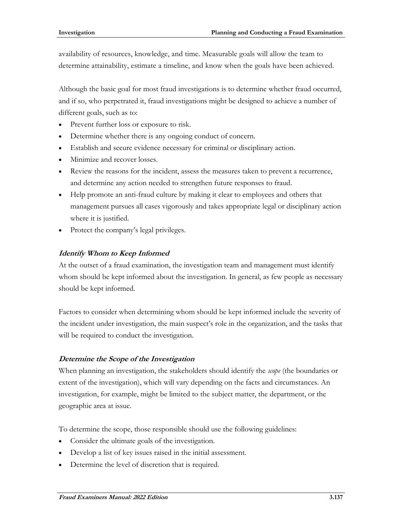availability of resources, knowledge, and time. Measurable goals will allow the team to determine attainability, estimate a timeline, and know when the goals have been achieved.

Although the basic goal for most fraud investigations is to determine whether fraud occurred, and if so, who perpetrated it, fraud investigations might be designed to achieve a number of different goals, such as to:

- Prevent further loss or exposure to risk.
- Determine whether there is any ongoing conduct of concern.
- Establish and secure evidence necessary for criminal or disciplinary action.
- Minimize and recover losses.
- Review the reasons for the incident, assess the measures taken to prevent a recurrence, and determine any action needed to strengthen future responses to fraud.
- Help promote an anti-fraud culture by making it clear to employees and others that management pursues all cases vigorously and takes appropriate legal or disciplinary action where it is justified.
- Protect the company's legal privileges.

### **Identify Whom to Keep Informed**

At the outset of a fraud examination, the investigation team and management must identify whom should be kept informed about the investigation. In general, as few people as necessary should be kept informed.

Factors to consider when determining whom should be kept informed include the severity of the incident under investigation, the main suspect's role in the organization, and the tasks that will be required to conduct the investigation.

# **Determine the Scope of the Investigation**

When planning an investigation, the stakeholders should identify the *scope* (the boundaries or extent of the investigation), which will vary depending on the facts and circumstances. An investigation, for example, might be limited to the subject matter, the department, or the geographic area at issue.

To determine the scope, those responsible should use the following guidelines:

- Consider the ultimate goals of the investigation.
- Develop a list of key issues raised in the initial assessment.
- Determine the level of discretion that is required.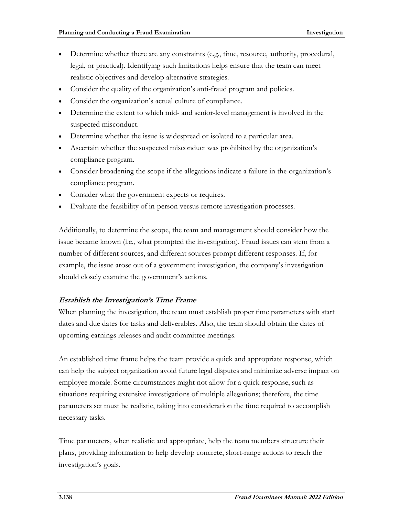- Determine whether there are any constraints (e.g., time, resource, authority, procedural, legal, or practical). Identifying such limitations helps ensure that the team can meet realistic objectives and develop alternative strategies.
- Consider the quality of the organization's anti-fraud program and policies.
- Consider the organization's actual culture of compliance.
- Determine the extent to which mid- and senior-level management is involved in the suspected misconduct.
- Determine whether the issue is widespread or isolated to a particular area.
- Ascertain whether the suspected misconduct was prohibited by the organization's compliance program.
- Consider broadening the scope if the allegations indicate a failure in the organization's compliance program.
- Consider what the government expects or requires.
- Evaluate the feasibility of in-person versus remote investigation processes.

Additionally, to determine the scope, the team and management should consider how the issue became known (i.e., what prompted the investigation). Fraud issues can stem from a number of different sources, and different sources prompt different responses. If, for example, the issue arose out of a government investigation, the company's investigation should closely examine the government's actions.

### **Establish the Investigation's Time Frame**

When planning the investigation, the team must establish proper time parameters with start dates and due dates for tasks and deliverables. Also, the team should obtain the dates of upcoming earnings releases and audit committee meetings.

An established time frame helps the team provide a quick and appropriate response, which can help the subject organization avoid future legal disputes and minimize adverse impact on employee morale. Some circumstances might not allow for a quick response, such as situations requiring extensive investigations of multiple allegations; therefore, the time parameters set must be realistic, taking into consideration the time required to accomplish necessary tasks.

Time parameters, when realistic and appropriate, help the team members structure their plans, providing information to help develop concrete, short-range actions to reach the investigation's goals.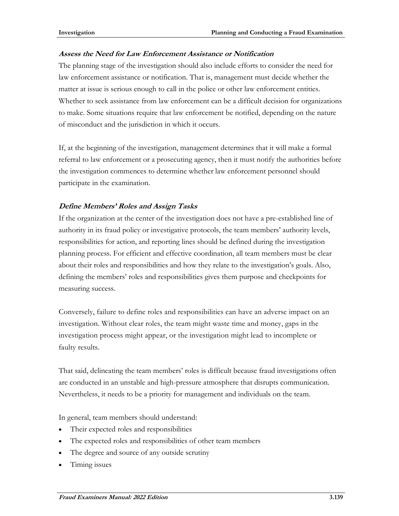#### **Assess the Need for Law Enforcement Assistance or Notification**

The planning stage of the investigation should also include efforts to consider the need for law enforcement assistance or notification. That is, management must decide whether the matter at issue is serious enough to call in the police or other law enforcement entities. Whether to seek assistance from law enforcement can be a difficult decision for organizations to make. Some situations require that law enforcement be notified, depending on the nature of misconduct and the jurisdiction in which it occurs.

If, at the beginning of the investigation, management determines that it will make a formal referral to law enforcement or a prosecuting agency, then it must notify the authorities before the investigation commences to determine whether law enforcement personnel should participate in the examination.

### **Define Members' Roles and Assign Tasks**

If the organization at the center of the investigation does not have a pre-established line of authority in its fraud policy or investigative protocols, the team members' authority levels, responsibilities for action, and reporting lines should be defined during the investigation planning process. For efficient and effective coordination, all team members must be clear about their roles and responsibilities and how they relate to the investigation's goals. Also, defining the members' roles and responsibilities gives them purpose and checkpoints for measuring success.

Conversely, failure to define roles and responsibilities can have an adverse impact on an investigation. Without clear roles, the team might waste time and money, gaps in the investigation process might appear, or the investigation might lead to incomplete or faulty results.

That said, delineating the team members' roles is difficult because fraud investigations often are conducted in an unstable and high-pressure atmosphere that disrupts communication. Nevertheless, it needs to be a priority for management and individuals on the team.

In general, team members should understand:

- Their expected roles and responsibilities
- The expected roles and responsibilities of other team members
- The degree and source of any outside scrutiny
- Timing issues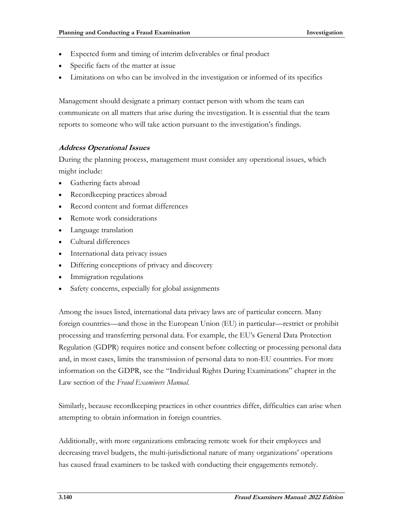- Expected form and timing of interim deliverables or final product
- Specific facts of the matter at issue
- Limitations on who can be involved in the investigation or informed of its specifics

Management should designate a primary contact person with whom the team can communicate on all matters that arise during the investigation. It is essential that the team reports to someone who will take action pursuant to the investigation's findings.

# **Address Operational Issues**

During the planning process, management must consider any operational issues, which might include:

- Gathering facts abroad
- Recordkeeping practices abroad
- Record content and format differences
- Remote work considerations
- Language translation
- Cultural differences
- International data privacy issues
- Differing conceptions of privacy and discovery
- Immigration regulations
- Safety concerns, especially for global assignments

Among the issues listed, international data privacy laws are of particular concern. Many foreign countries—and those in the European Union (EU) in particular—restrict or prohibit processing and transferring personal data. For example, the EU's General Data Protection Regulation (GDPR) requires notice and consent before collecting or processing personal data and, in most cases, limits the transmission of personal data to non-EU countries. For more information on the GDPR, see the "Individual Rights During Examinations" chapter in the Law section of the *Fraud Examiners Manual*.

Similarly, because recordkeeping practices in other countries differ, difficulties can arise when attempting to obtain information in foreign countries.

Additionally, with more organizations embracing remote work for their employees and decreasing travel budgets, the multi-jurisdictional nature of many organizations' operations has caused fraud examiners to be tasked with conducting their engagements remotely.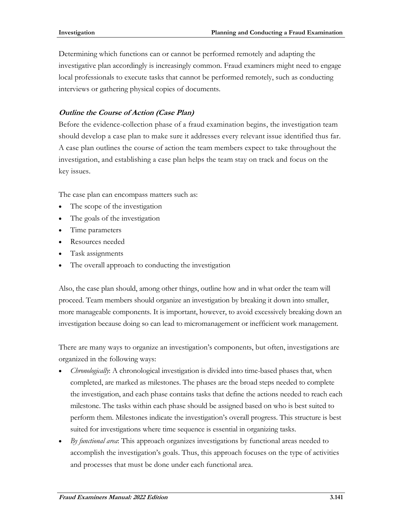Determining which functions can or cannot be performed remotely and adapting the investigative plan accordingly is increasingly common. Fraud examiners might need to engage local professionals to execute tasks that cannot be performed remotely, such as conducting interviews or gathering physical copies of documents.

### **Outline the Course of Action (Case Plan)**

Before the evidence-collection phase of a fraud examination begins, the investigation team should develop a case plan to make sure it addresses every relevant issue identified thus far. A case plan outlines the course of action the team members expect to take throughout the investigation, and establishing a case plan helps the team stay on track and focus on the key issues.

The case plan can encompass matters such as:

- The scope of the investigation
- The goals of the investigation
- Time parameters
- Resources needed
- Task assignments
- The overall approach to conducting the investigation

Also, the case plan should, among other things, outline how and in what order the team will proceed. Team members should organize an investigation by breaking it down into smaller, more manageable components. It is important, however, to avoid excessively breaking down an investigation because doing so can lead to micromanagement or inefficient work management.

There are many ways to organize an investigation's components, but often, investigations are organized in the following ways:

- *Chronologically*: A chronological investigation is divided into time-based phases that, when completed, are marked as milestones. The phases are the broad steps needed to complete the investigation, and each phase contains tasks that define the actions needed to reach each milestone. The tasks within each phase should be assigned based on who is best suited to perform them. Milestones indicate the investigation's overall progress. This structure is best suited for investigations where time sequence is essential in organizing tasks.
- *By functional area*: This approach organizes investigations by functional areas needed to accomplish the investigation's goals. Thus, this approach focuses on the type of activities and processes that must be done under each functional area.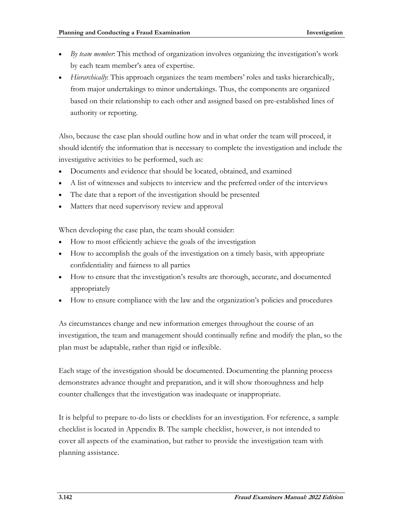- *By team member*: This method of organization involves organizing the investigation's work by each team member's area of expertise.
- *Hierarchically*: This approach organizes the team members' roles and tasks hierarchically, from major undertakings to minor undertakings. Thus, the components are organized based on their relationship to each other and assigned based on pre-established lines of authority or reporting.

Also, because the case plan should outline how and in what order the team will proceed, it should identify the information that is necessary to complete the investigation and include the investigative activities to be performed, such as:

- Documents and evidence that should be located, obtained, and examined
- A list of witnesses and subjects to interview and the preferred order of the interviews
- The date that a report of the investigation should be presented
- Matters that need supervisory review and approval

When developing the case plan, the team should consider:

- How to most efficiently achieve the goals of the investigation
- How to accomplish the goals of the investigation on a timely basis, with appropriate confidentiality and fairness to all parties
- How to ensure that the investigation's results are thorough, accurate, and documented appropriately
- How to ensure compliance with the law and the organization's policies and procedures

As circumstances change and new information emerges throughout the course of an investigation, the team and management should continually refine and modify the plan, so the plan must be adaptable, rather than rigid or inflexible.

Each stage of the investigation should be documented. Documenting the planning process demonstrates advance thought and preparation, and it will show thoroughness and help counter challenges that the investigation was inadequate or inappropriate.

It is helpful to prepare to-do lists or checklists for an investigation. For reference, a sample checklist is located in Appendix B. The sample checklist, however, is not intended to cover all aspects of the examination, but rather to provide the investigation team with planning assistance.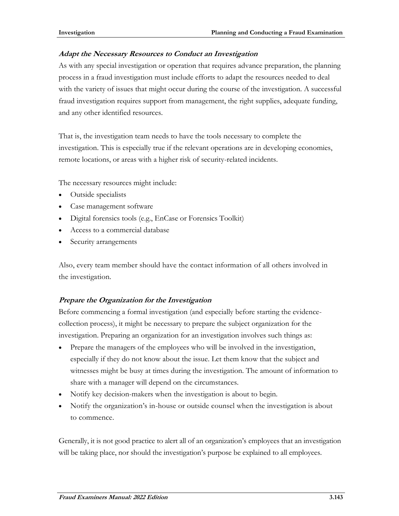### **Adapt the Necessary Resources to Conduct an Investigation**

As with any special investigation or operation that requires advance preparation, the planning process in a fraud investigation must include efforts to adapt the resources needed to deal with the variety of issues that might occur during the course of the investigation. A successful fraud investigation requires support from management, the right supplies, adequate funding, and any other identified resources.

That is, the investigation team needs to have the tools necessary to complete the investigation. This is especially true if the relevant operations are in developing economies, remote locations, or areas with a higher risk of security-related incidents.

The necessary resources might include:

- Outside specialists
- Case management software
- Digital forensics tools (e.g., EnCase or Forensics Toolkit)
- Access to a commercial database
- Security arrangements

Also, every team member should have the contact information of all others involved in the investigation.

### **Prepare the Organization for the Investigation**

Before commencing a formal investigation (and especially before starting the evidencecollection process), it might be necessary to prepare the subject organization for the investigation. Preparing an organization for an investigation involves such things as:

- Prepare the managers of the employees who will be involved in the investigation, especially if they do not know about the issue. Let them know that the subject and witnesses might be busy at times during the investigation. The amount of information to share with a manager will depend on the circumstances.
- Notify key decision-makers when the investigation is about to begin.
- Notify the organization's in-house or outside counsel when the investigation is about to commence.

Generally, it is not good practice to alert all of an organization's employees that an investigation will be taking place, nor should the investigation's purpose be explained to all employees.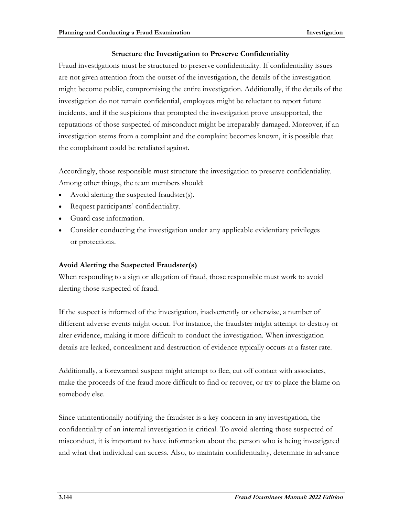#### **Structure the Investigation to Preserve Confidentiality**

Fraud investigations must be structured to preserve confidentiality. If confidentiality issues are not given attention from the outset of the investigation, the details of the investigation might become public, compromising the entire investigation. Additionally, if the details of the investigation do not remain confidential, employees might be reluctant to report future incidents, and if the suspicions that prompted the investigation prove unsupported, the reputations of those suspected of misconduct might be irreparably damaged. Moreover, if an investigation stems from a complaint and the complaint becomes known, it is possible that the complainant could be retaliated against.

Accordingly, those responsible must structure the investigation to preserve confidentiality. Among other things, the team members should:

- Avoid alerting the suspected fraudster(s).
- Request participants' confidentiality.
- Guard case information.
- Consider conducting the investigation under any applicable evidentiary privileges or protections.

### **Avoid Alerting the Suspected Fraudster(s)**

When responding to a sign or allegation of fraud, those responsible must work to avoid alerting those suspected of fraud.

If the suspect is informed of the investigation, inadvertently or otherwise, a number of different adverse events might occur. For instance, the fraudster might attempt to destroy or alter evidence, making it more difficult to conduct the investigation. When investigation details are leaked, concealment and destruction of evidence typically occurs at a faster rate.

Additionally, a forewarned suspect might attempt to flee, cut off contact with associates, make the proceeds of the fraud more difficult to find or recover, or try to place the blame on somebody else.

Since unintentionally notifying the fraudster is a key concern in any investigation, the confidentiality of an internal investigation is critical. To avoid alerting those suspected of misconduct, it is important to have information about the person who is being investigated and what that individual can access. Also, to maintain confidentiality, determine in advance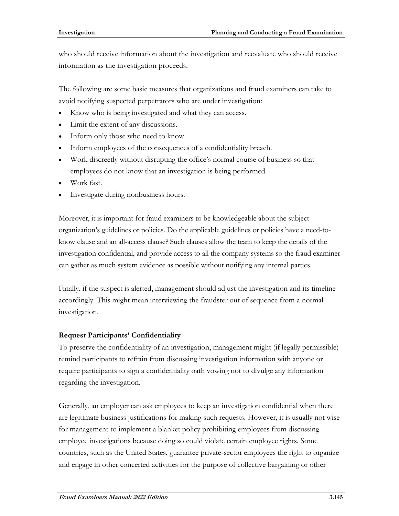who should receive information about the investigation and reevaluate who should receive information as the investigation proceeds.

The following are some basic measures that organizations and fraud examiners can take to avoid notifying suspected perpetrators who are under investigation:

- Know who is being investigated and what they can access.
- Limit the extent of any discussions.
- Inform only those who need to know.
- Inform employees of the consequences of a confidentiality breach.
- Work discreetly without disrupting the office's normal course of business so that employees do not know that an investigation is being performed.
- Work fast.
- Investigate during nonbusiness hours.

Moreover, it is important for fraud examiners to be knowledgeable about the subject organization's guidelines or policies. Do the applicable guidelines or policies have a need-toknow clause and an all-access clause? Such clauses allow the team to keep the details of the investigation confidential, and provide access to all the company systems so the fraud examiner can gather as much system evidence as possible without notifying any internal parties.

Finally, if the suspect is alerted, management should adjust the investigation and its timeline accordingly. This might mean interviewing the fraudster out of sequence from a normal investigation.

### **Request Participants' Confidentiality**

To preserve the confidentiality of an investigation, management might (if legally permissible) remind participants to refrain from discussing investigation information with anyone or require participants to sign a confidentiality oath vowing not to divulge any information regarding the investigation.

Generally, an employer can ask employees to keep an investigation confidential when there are legitimate business justifications for making such requests. However, it is usually not wise for management to implement a blanket policy prohibiting employees from discussing employee investigations because doing so could violate certain employee rights. Some countries, such as the United States, guarantee private-sector employees the right to organize and engage in other concerted activities for the purpose of collective bargaining or other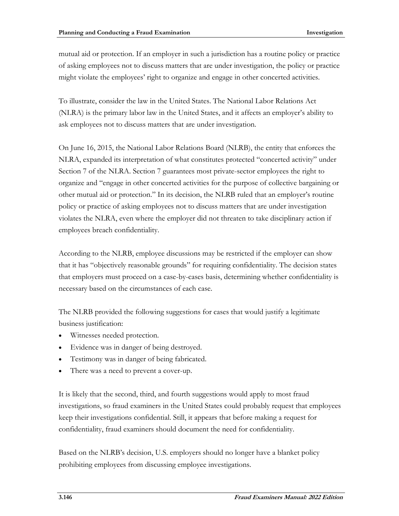mutual aid or protection. If an employer in such a jurisdiction has a routine policy or practice of asking employees not to discuss matters that are under investigation, the policy or practice might violate the employees' right to organize and engage in other concerted activities.

To illustrate, consider the law in the United States. The National Labor Relations Act (NLRA) is the primary labor law in the United States, and it affects an employer's ability to ask employees not to discuss matters that are under investigation.

On June 16, 2015, the National Labor Relations Board (NLRB), the entity that enforces the NLRA, expanded its interpretation of what constitutes protected "concerted activity" under Section 7 of the NLRA. Section 7 guarantees most private-sector employees the right to organize and "engage in other concerted activities for the purpose of collective bargaining or other mutual aid or protection." In its decision, the NLRB ruled that an employer's routine policy or practice of asking employees not to discuss matters that are under investigation violates the NLRA, even where the employer did not threaten to take disciplinary action if employees breach confidentiality.

According to the NLRB, employee discussions may be restricted if the employer can show that it has "objectively reasonable grounds" for requiring confidentiality. The decision states that employers must proceed on a case-by-cases basis, determining whether confidentiality is necessary based on the circumstances of each case.

The NLRB provided the following suggestions for cases that would justify a legitimate business justification:

- Witnesses needed protection.
- Evidence was in danger of being destroyed.
- Testimony was in danger of being fabricated.
- There was a need to prevent a cover-up.

It is likely that the second, third, and fourth suggestions would apply to most fraud investigations, so fraud examiners in the United States could probably request that employees keep their investigations confidential. Still, it appears that before making a request for confidentiality, fraud examiners should document the need for confidentiality.

Based on the NLRB's decision, U.S. employers should no longer have a blanket policy prohibiting employees from discussing employee investigations.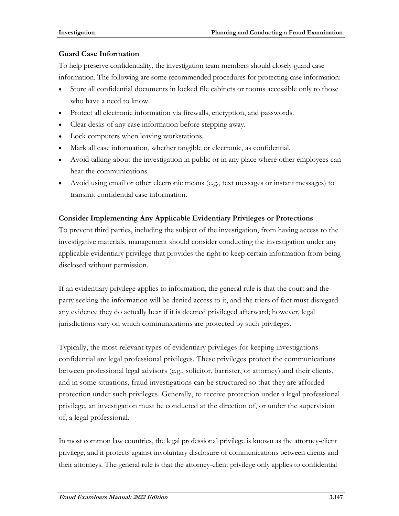### **Guard Case Information**

To help preserve confidentiality, the investigation team members should closely guard case information. The following are some recommended procedures for protecting case information:

- Store all confidential documents in locked file cabinets or rooms accessible only to those who have a need to know.
- Protect all electronic information via firewalls, encryption, and passwords.
- Clear desks of any case information before stepping away.
- Lock computers when leaving workstations.
- Mark all case information, whether tangible or electronic, as confidential.
- Avoid talking about the investigation in public or in any place where other employees can hear the communications.
- Avoid using email or other electronic means (e.g., text messages or instant messages) to transmit confidential case information.

# **Consider Implementing Any Applicable Evidentiary Privileges or Protections**

To prevent third parties, including the subject of the investigation, from having access to the investigative materials, management should consider conducting the investigation under any applicable evidentiary privilege that provides the right to keep certain information from being disclosed without permission.

If an evidentiary privilege applies to information, the general rule is that the court and the party seeking the information will be denied access to it, and the triers of fact must disregard any evidence they do actually hear if it is deemed privileged afterward; however, legal jurisdictions vary on which communications are protected by such privileges.

Typically, the most relevant types of evidentiary privileges for keeping investigations confidential are legal professional privileges. These privileges protect the communications between professional legal advisors (e.g., solicitor, barrister, or attorney) and their clients, and in some situations, fraud investigations can be structured so that they are afforded protection under such privileges. Generally, to receive protection under a legal professional privilege, an investigation must be conducted at the direction of, or under the supervision of, a legal professional.

In most common law countries, the legal professional privilege is known as the attorney-client privilege, and it protects against involuntary disclosure of communications between clients and their attorneys. The general rule is that the attorney-client privilege only applies to confidential